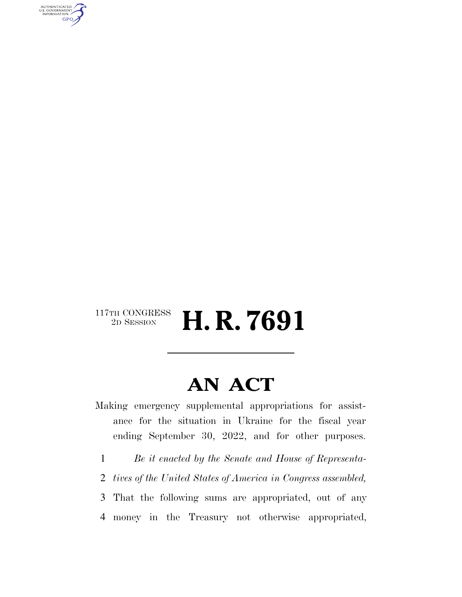

#### $\begin{array}{c} \text{117th CONGRESS} \\ \text{2D SESION} \end{array}$ 2D SESSION **H. R. 7691**

### **AN ACT**

Making emergency supplemental appropriations for assistance for the situation in Ukraine for the fiscal year ending September 30, 2022, and for other purposes.

1 *Be it enacted by the Senate and House of Representa-*

2 *tives of the United States of America in Congress assembled,* 

3 That the following sums are appropriated, out of any 4 money in the Treasury not otherwise appropriated,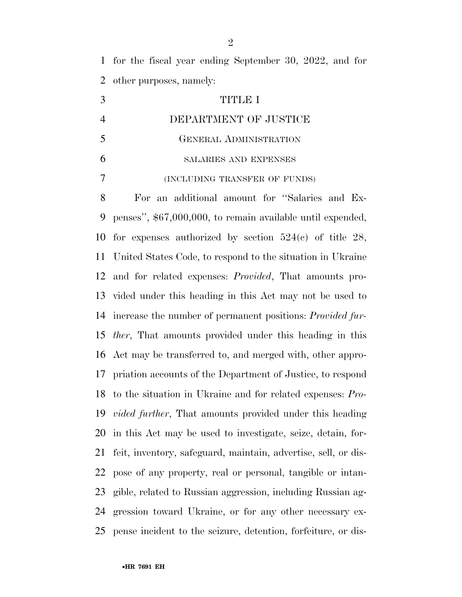for the fiscal year ending September 30, 2022, and for other purposes, namely:

 TITLE I DEPARTMENT OF JUSTICE GENERAL ADMINISTRATION SALARIES AND EXPENSES (INCLUDING TRANSFER OF FUNDS)

 For an additional amount for ''Salaries and Ex- penses'', \$67,000,000, to remain available until expended, for expenses authorized by section 524(c) of title 28, United States Code, to respond to the situation in Ukraine and for related expenses: *Provided*, That amounts pro- vided under this heading in this Act may not be used to increase the number of permanent positions: *Provided fur- ther*, That amounts provided under this heading in this Act may be transferred to, and merged with, other appro- priation accounts of the Department of Justice, to respond to the situation in Ukraine and for related expenses: *Pro- vided further*, That amounts provided under this heading in this Act may be used to investigate, seize, detain, for- feit, inventory, safeguard, maintain, advertise, sell, or dis- pose of any property, real or personal, tangible or intan- gible, related to Russian aggression, including Russian ag- gression toward Ukraine, or for any other necessary ex-pense incident to the seizure, detention, forfeiture, or dis-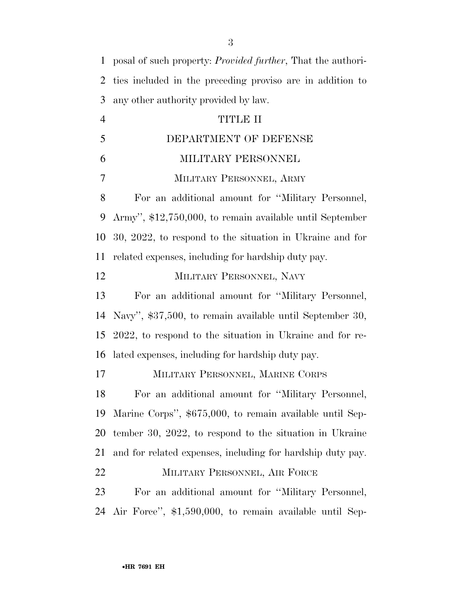| $\mathbf{1}$   | posal of such property: <i>Provided further</i> , That the authori- |
|----------------|---------------------------------------------------------------------|
| $\overline{2}$ | ties included in the preceding proviso are in addition to           |
| 3              | any other authority provided by law.                                |
| $\overline{4}$ | TITLE II                                                            |
| 5              | DEPARTMENT OF DEFENSE                                               |
| 6              | MILITARY PERSONNEL                                                  |
| 7              | MILITARY PERSONNEL, ARMY                                            |
| $8\,$          | For an additional amount for "Military Personnel,                   |
| 9              | Army", \$12,750,000, to remain available until September            |
| 10             | 30, 2022, to respond to the situation in Ukraine and for            |
| 11             | related expenses, including for hardship duty pay.                  |
| 12             | MILITARY PERSONNEL, NAVY                                            |
| 13             | For an additional amount for "Military Personnel,                   |
| 14             | Navy", \$37,500, to remain available until September 30,            |
| 15             | 2022, to respond to the situation in Ukraine and for re-            |
| 16             | lated expenses, including for hardship duty pay.                    |
| 17             | MILITARY PERSONNEL, MARINE CORPS                                    |
| 18             | For an additional amount for "Military Personnel,                   |
| 19             | Marine Corps", \$675,000, to remain available until Sep-            |
| 20             | tember 30, 2022, to respond to the situation in Ukraine             |
| 21             | and for related expenses, including for hardship duty pay.          |
| 22             | MILITARY PERSONNEL, AIR FORCE                                       |
| 23             | For an additional amount for "Military Personnel,                   |
| 24             | Air Force", \$1,590,000, to remain available until Sep-             |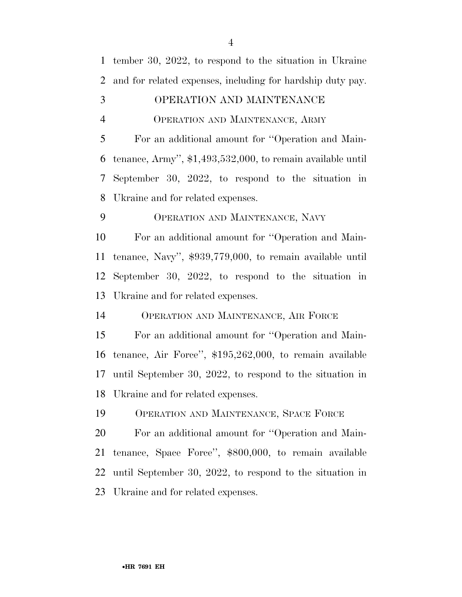tember 30, 2022, to respond to the situation in Ukraine and for related expenses, including for hardship duty pay.

#### OPERATION AND MAINTENANCE

OPERATION AND MAINTENANCE, ARMY

 For an additional amount for ''Operation and Main- tenance, Army'', \$1,493,532,000, to remain available until September 30, 2022, to respond to the situation in Ukraine and for related expenses.

OPERATION AND MAINTENANCE, NAVY

 For an additional amount for ''Operation and Main- tenance, Navy'', \$939,779,000, to remain available until September 30, 2022, to respond to the situation in Ukraine and for related expenses.

OPERATION AND MAINTENANCE, AIR FORCE

 For an additional amount for ''Operation and Main- tenance, Air Force'', \$195,262,000, to remain available until September 30, 2022, to respond to the situation in Ukraine and for related expenses.

OPERATION AND MAINTENANCE, SPACE FORCE

 For an additional amount for ''Operation and Main- tenance, Space Force'', \$800,000, to remain available until September 30, 2022, to respond to the situation in Ukraine and for related expenses.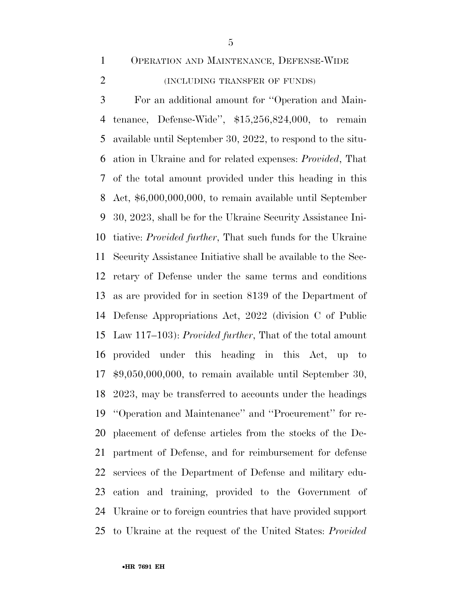OPERATION AND MAINTENANCE, DEFENSE-WIDE

#### (INCLUDING TRANSFER OF FUNDS)

 For an additional amount for ''Operation and Main- tenance, Defense-Wide'', \$15,256,824,000, to remain available until September 30, 2022, to respond to the situ- ation in Ukraine and for related expenses: *Provided*, That of the total amount provided under this heading in this Act, \$6,000,000,000, to remain available until September 30, 2023, shall be for the Ukraine Security Assistance Ini- tiative: *Provided further*, That such funds for the Ukraine Security Assistance Initiative shall be available to the Sec- retary of Defense under the same terms and conditions as are provided for in section 8139 of the Department of Defense Appropriations Act, 2022 (division C of Public Law 117–103): *Provided further*, That of the total amount provided under this heading in this Act, up to \$9,050,000,000, to remain available until September 30, 2023, may be transferred to accounts under the headings ''Operation and Maintenance'' and ''Procurement'' for re- placement of defense articles from the stocks of the De- partment of Defense, and for reimbursement for defense services of the Department of Defense and military edu- cation and training, provided to the Government of Ukraine or to foreign countries that have provided support to Ukraine at the request of the United States: *Provided*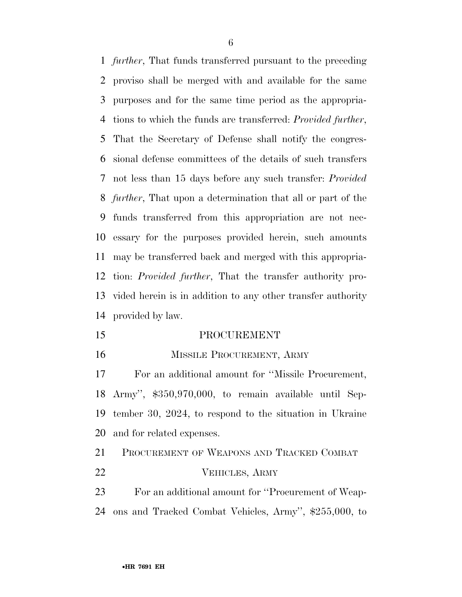*further*, That funds transferred pursuant to the preceding proviso shall be merged with and available for the same purposes and for the same time period as the appropria- tions to which the funds are transferred: *Provided further*, That the Secretary of Defense shall notify the congres- sional defense committees of the details of such transfers not less than 15 days before any such transfer: *Provided further*, That upon a determination that all or part of the funds transferred from this appropriation are not nec- essary for the purposes provided herein, such amounts may be transferred back and merged with this appropria- tion: *Provided further*, That the transfer authority pro- vided herein is in addition to any other transfer authority provided by law.

- PROCUREMENT
- 

#### 16 MISSILE PROCUREMENT, ARMY

 For an additional amount for ''Missile Procurement, Army'', \$350,970,000, to remain available until Sep- tember 30, 2024, to respond to the situation in Ukraine and for related expenses.

 PROCUREMENT OF WEAPONS AND TRACKED COMBAT VEHICLES, ARMY

 For an additional amount for ''Procurement of Weap-ons and Tracked Combat Vehicles, Army'', \$255,000, to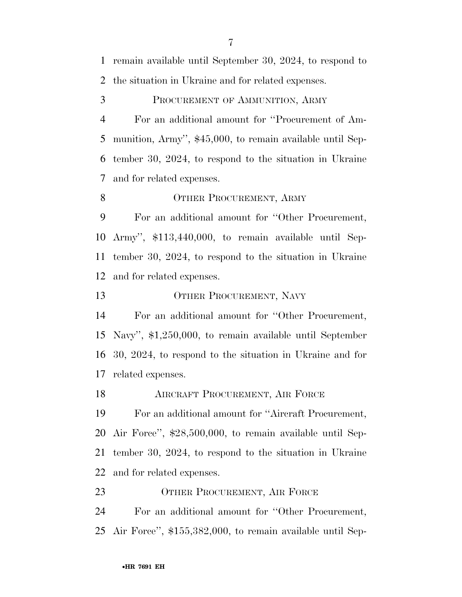remain available until September 30, 2024, to respond to the situation in Ukraine and for related expenses.

PROCUREMENT OF AMMUNITION, ARMY

 For an additional amount for ''Procurement of Am- munition, Army'', \$45,000, to remain available until Sep- tember 30, 2024, to respond to the situation in Ukraine and for related expenses.

#### 8 OTHER PROCUREMENT, ARMY

 For an additional amount for ''Other Procurement, Army'', \$113,440,000, to remain available until Sep- tember 30, 2024, to respond to the situation in Ukraine and for related expenses.

13 OTHER PROCUREMENT, NAVY

 For an additional amount for ''Other Procurement, Navy'', \$1,250,000, to remain available until September 30, 2024, to respond to the situation in Ukraine and for related expenses.

**AIRCRAFT PROCUREMENT, AIR FORCE** 

 For an additional amount for ''Aircraft Procurement, Air Force'', \$28,500,000, to remain available until Sep- tember 30, 2024, to respond to the situation in Ukraine and for related expenses.

23 OTHER PROCUREMENT, AIR FORCE For an additional amount for ''Other Procurement, Air Force'', \$155,382,000, to remain available until Sep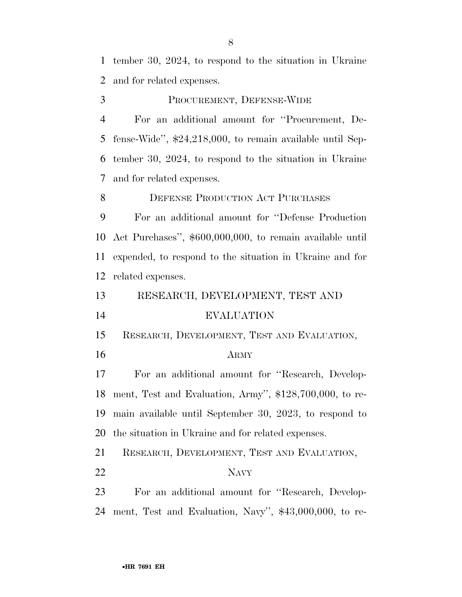tember 30, 2024, to respond to the situation in Ukraine and for related expenses.

PROCUREMENT, DEFENSE-WIDE

 For an additional amount for ''Procurement, De- fense-Wide'', \$24,218,000, to remain available until Sep- tember 30, 2024, to respond to the situation in Ukraine and for related expenses.

8 DEFENSE PRODUCTION ACT PURCHASES

 For an additional amount for ''Defense Production Act Purchases'', \$600,000,000, to remain available until expended, to respond to the situation in Ukraine and for related expenses.

 RESEARCH, DEVELOPMENT, TEST AND EVALUATION

RESEARCH, DEVELOPMENT, TEST AND EVALUATION,

#### ARMY

 For an additional amount for ''Research, Develop- ment, Test and Evaluation, Army'', \$128,700,000, to re- main available until September 30, 2023, to respond to the situation in Ukraine and for related expenses.

RESEARCH, DEVELOPMENT, TEST AND EVALUATION,

NAVY

 For an additional amount for ''Research, Develop-ment, Test and Evaluation, Navy'', \$43,000,000, to re-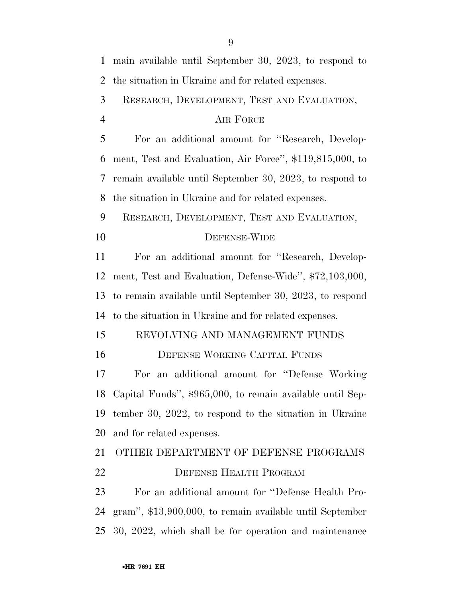| $\mathbf{1}$   | main available until September 30, 2023, to respond to    |
|----------------|-----------------------------------------------------------|
| $\overline{2}$ | the situation in Ukraine and for related expenses.        |
| 3              | RESEARCH, DEVELOPMENT, TEST AND EVALUATION,               |
| $\overline{4}$ | AIR FORCE                                                 |
| 5              | For an additional amount for "Research, Develop-          |
| 6              | ment, Test and Evaluation, Air Force", \$119,815,000, to  |
| 7              | remain available until September 30, 2023, to respond to  |
| 8              | the situation in Ukraine and for related expenses.        |
| 9              | RESEARCH, DEVELOPMENT, TEST AND EVALUATION,               |
| 10             | <b>DEFENSE-WIDE</b>                                       |
| 11             | For an additional amount for "Research, Develop-          |
| 12             | ment, Test and Evaluation, Defense-Wide", \$72,103,000,   |
| 13             | to remain available until September 30, 2023, to respond  |
| 14             | to the situation in Ukraine and for related expenses.     |
| 15             | REVOLVING AND MANAGEMENT FUNDS                            |
| 16             | DEFENSE WORKING CAPITAL FUNDS                             |
| 17             | an additional amount for "Defense Working"<br>For         |
| 18             | Capital Funds", \$965,000, to remain available until Sep- |
| 19             | tember 30, 2022, to respond to the situation in Ukraine   |
| 20             | and for related expenses.                                 |
| 21             | OTHER DEPARTMENT OF DEFENSE PROGRAMS                      |
| 22             | DEFENSE HEALTH PROGRAM                                    |
| 23             | For an additional amount for "Defense Health Pro-         |
| 24             | gram", \$13,900,000, to remain available until September  |
| 25             | 30, 2022, which shall be for operation and maintenance    |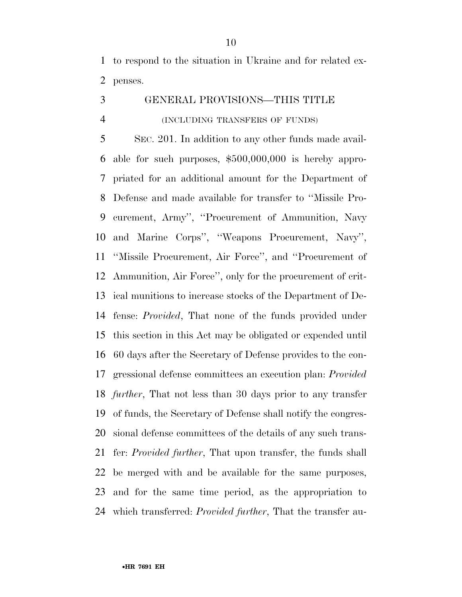to respond to the situation in Ukraine and for related ex-penses.

GENERAL PROVISIONS—THIS TITLE

#### (INCLUDING TRANSFERS OF FUNDS)

 SEC. 201. In addition to any other funds made avail- able for such purposes, \$500,000,000 is hereby appro- priated for an additional amount for the Department of Defense and made available for transfer to ''Missile Pro- curement, Army'', ''Procurement of Ammunition, Navy and Marine Corps'', ''Weapons Procurement, Navy'', ''Missile Procurement, Air Force'', and ''Procurement of Ammunition, Air Force'', only for the procurement of crit- ical munitions to increase stocks of the Department of De- fense: *Provided*, That none of the funds provided under this section in this Act may be obligated or expended until 60 days after the Secretary of Defense provides to the con- gressional defense committees an execution plan: *Provided further*, That not less than 30 days prior to any transfer of funds, the Secretary of Defense shall notify the congres- sional defense committees of the details of any such trans- fer: *Provided further*, That upon transfer, the funds shall be merged with and be available for the same purposes, and for the same time period, as the appropriation to which transferred: *Provided further*, That the transfer au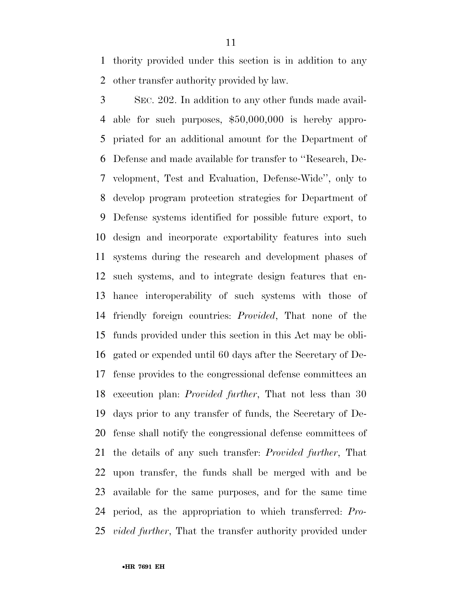thority provided under this section is in addition to any other transfer authority provided by law.

 SEC. 202. In addition to any other funds made avail- able for such purposes, \$50,000,000 is hereby appro- priated for an additional amount for the Department of Defense and made available for transfer to ''Research, De- velopment, Test and Evaluation, Defense-Wide'', only to develop program protection strategies for Department of Defense systems identified for possible future export, to design and incorporate exportability features into such systems during the research and development phases of such systems, and to integrate design features that en- hance interoperability of such systems with those of friendly foreign countries: *Provided*, That none of the funds provided under this section in this Act may be obli- gated or expended until 60 days after the Secretary of De- fense provides to the congressional defense committees an execution plan: *Provided further*, That not less than 30 days prior to any transfer of funds, the Secretary of De- fense shall notify the congressional defense committees of the details of any such transfer: *Provided further*, That upon transfer, the funds shall be merged with and be available for the same purposes, and for the same time period, as the appropriation to which transferred: *Pro-vided further*, That the transfer authority provided under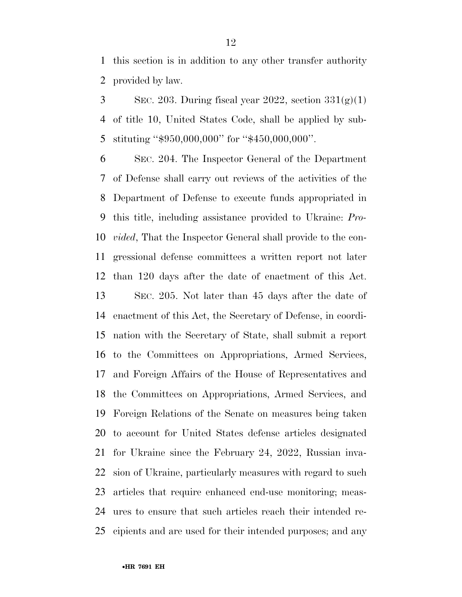this section is in addition to any other transfer authority provided by law.

3 SEC. 203. During fiscal year 2022, section  $331(g)(1)$  of title 10, United States Code, shall be applied by sub-stituting ''\$950,000,000'' for ''\$450,000,000''.

 SEC. 204. The Inspector General of the Department of Defense shall carry out reviews of the activities of the Department of Defense to execute funds appropriated in this title, including assistance provided to Ukraine: *Pro- vided*, That the Inspector General shall provide to the con- gressional defense committees a written report not later than 120 days after the date of enactment of this Act. SEC. 205. Not later than 45 days after the date of enactment of this Act, the Secretary of Defense, in coordi- nation with the Secretary of State, shall submit a report to the Committees on Appropriations, Armed Services, and Foreign Affairs of the House of Representatives and the Committees on Appropriations, Armed Services, and Foreign Relations of the Senate on measures being taken to account for United States defense articles designated for Ukraine since the February 24, 2022, Russian inva- sion of Ukraine, particularly measures with regard to such articles that require enhanced end-use monitoring; meas- ures to ensure that such articles reach their intended re-cipients and are used for their intended purposes; and any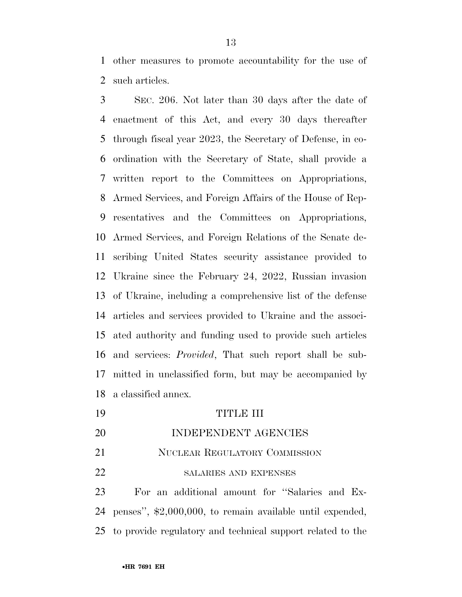other measures to promote accountability for the use of such articles.

 SEC. 206. Not later than 30 days after the date of enactment of this Act, and every 30 days thereafter through fiscal year 2023, the Secretary of Defense, in co- ordination with the Secretary of State, shall provide a written report to the Committees on Appropriations, Armed Services, and Foreign Affairs of the House of Rep- resentatives and the Committees on Appropriations, Armed Services, and Foreign Relations of the Senate de- scribing United States security assistance provided to Ukraine since the February 24, 2022, Russian invasion of Ukraine, including a comprehensive list of the defense articles and services provided to Ukraine and the associ- ated authority and funding used to provide such articles and services: *Provided*, That such report shall be sub- mitted in unclassified form, but may be accompanied by a classified annex.

- TITLE III INDEPENDENT AGENCIES
- 21 NUCLEAR REGULATORY COMMISSION
- 22 SALARIES AND EXPENSES

 For an additional amount for ''Salaries and Ex- penses'', \$2,000,000, to remain available until expended, to provide regulatory and technical support related to the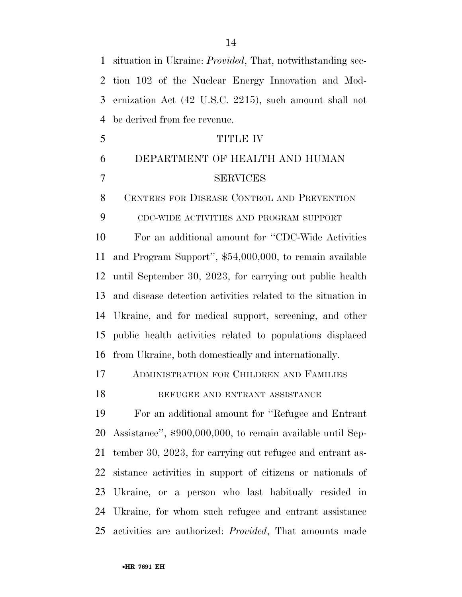situation in Ukraine: *Provided*, That, notwithstanding sec- tion 102 of the Nuclear Energy Innovation and Mod- ernization Act (42 U.S.C. 2215), such amount shall not be derived from fee revenue. TITLE IV DEPARTMENT OF HEALTH AND HUMAN SERVICES CENTERS FOR DISEASE CONTROL AND PREVENTION CDC-WIDE ACTIVITIES AND PROGRAM SUPPORT For an additional amount for ''CDC-Wide Activities and Program Support'', \$54,000,000, to remain available until September 30, 2023, for carrying out public health and disease detection activities related to the situation in Ukraine, and for medical support, screening, and other public health activities related to populations displaced from Ukraine, both domestically and internationally. ADMINISTRATION FOR CHILDREN AND FAMILIES 18 REFUGEE AND ENTRANT ASSISTANCE For an additional amount for ''Refugee and Entrant Assistance'', \$900,000,000, to remain available until Sep- tember 30, 2023, for carrying out refugee and entrant as- sistance activities in support of citizens or nationals of Ukraine, or a person who last habitually resided in Ukraine, for whom such refugee and entrant assistance activities are authorized: *Provided*, That amounts made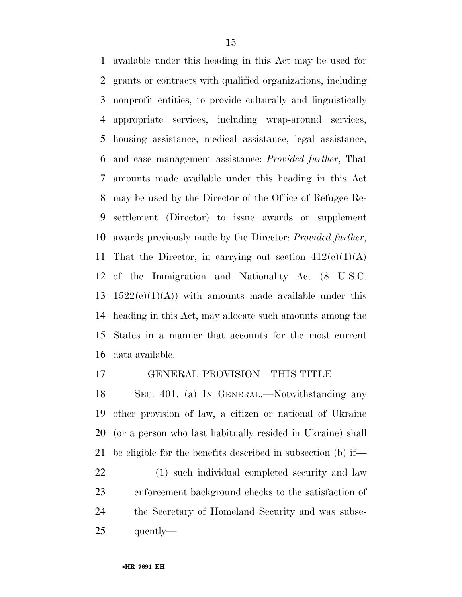available under this heading in this Act may be used for grants or contracts with qualified organizations, including nonprofit entities, to provide culturally and linguistically appropriate services, including wrap-around services, housing assistance, medical assistance, legal assistance, and case management assistance: *Provided further*, That amounts made available under this heading in this Act may be used by the Director of the Office of Refugee Re- settlement (Director) to issue awards or supplement awards previously made by the Director: *Provided further*, 11 That the Director, in carrying out section  $412(e)(1)(A)$  of the Immigration and Nationality Act (8 U.S.C. 13 1522 $(e)(1)(A)$  with amounts made available under this heading in this Act, may allocate such amounts among the States in a manner that accounts for the most current data available.

#### GENERAL PROVISION—THIS TITLE

 SEC. 401. (a) IN GENERAL.—Notwithstanding any other provision of law, a citizen or national of Ukraine (or a person who last habitually resided in Ukraine) shall be eligible for the benefits described in subsection (b) if—

 (1) such individual completed security and law enforcement background checks to the satisfaction of the Secretary of Homeland Security and was subse-quently—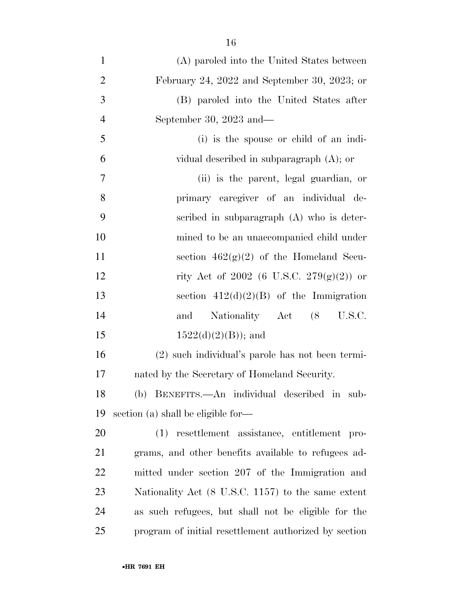| $\mathbf{1}$   | (A) paroled into the United States between            |
|----------------|-------------------------------------------------------|
| $\overline{2}$ | February 24, 2022 and September 30, 2023; or          |
| 3              | (B) paroled into the United States after              |
| $\overline{4}$ | September 30, 2023 and—                               |
| 5              | (i) is the spouse or child of an indi-                |
| 6              | vidual described in subparagraph $(A)$ ; or           |
| 7              | (ii) is the parent, legal guardian, or                |
| 8              | primary caregiver of an individual de-                |
| 9              | scribed in subparagraph (A) who is deter-             |
| 10             | mined to be an unaccompanied child under              |
| 11             | section $462(g)(2)$ of the Homeland Secu-             |
| 12             | rity Act of 2002 (6 U.S.C. 279 $(g)(2)$ ) or          |
| 13             | section $412(d)(2)(B)$ of the Immigration             |
| 14             | Nationality Act (8 U.S.C.<br>and                      |
| 15             | $1522(d)(2)(B)$ ; and                                 |
| 16             | (2) such individual's parole has not been termi-      |
| 17             | nated by the Secretary of Homeland Security.          |
| 18             | (b) BENEFITS.—An individual described in<br>sub-      |
| 19             | section (a) shall be eligible for—                    |
| 20             | (1) resettlement assistance, entitlement pro-         |
| 21             | grams, and other benefits available to refugees ad-   |
| 22             | mitted under section 207 of the Immigration and       |
| 23             | Nationality Act (8 U.S.C. 1157) to the same extent    |
| 24             | as such refugees, but shall not be eligible for the   |
| 25             | program of initial resettlement authorized by section |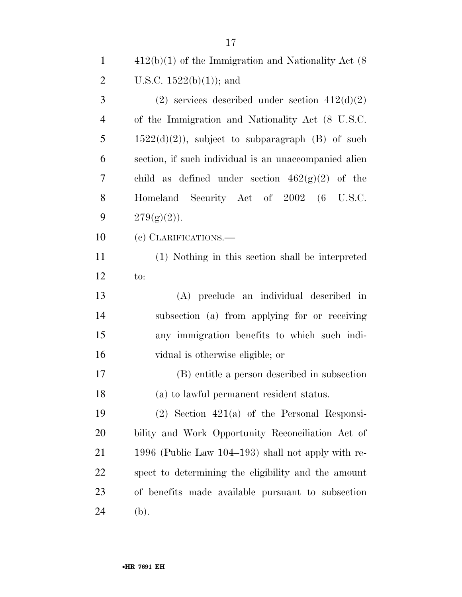| $\mathbf{1}$   | $412(b)(1)$ of the Immigration and Nationality Act (8) |
|----------------|--------------------------------------------------------|
| $\overline{2}$ | U.S.C. $1522(b)(1)$ ; and                              |
| 3              | (2) services described under section $412(d)(2)$       |
| $\overline{4}$ | of the Immigration and Nationality Act (8 U.S.C.       |
| 5              | $1522(d)(2)$ , subject to subparagraph (B) of such     |
| 6              | section, if such individual is an unaccompanied alien  |
| 7              | child as defined under section $462(g)(2)$ of the      |
| 8              | Homeland Security Act of 2002 (6 U.S.C.                |
| 9              | $279(g)(2)$ .                                          |
| 10             | (c) CLARIFICATIONS.—                                   |
| <sup>11</sup>  | (1) Nothing in this section shall be interpreted       |
| 12             | to:                                                    |
| 13             | (A) preclude an individual described in                |
| 14             | subsection (a) from applying for or receiving          |
| 15             | any immigration benefits to which such indi-           |
| 16             | vidual is otherwise eligible; or                       |
| 17             | (B) entitle a person described in subsection           |
| 18             | (a) to lawful permanent resident status.               |
| 19             | $(2)$ Section $421(a)$ of the Personal Responsi-       |
| 20             | bility and Work Opportunity Reconciliation Act of      |
| 21             | 1996 (Public Law $104-193$ ) shall not apply with re-  |
| 22             | spect to determining the eligibility and the amount    |
| 23             | of benefits made available pursuant to subsection      |
| 24             | (b).                                                   |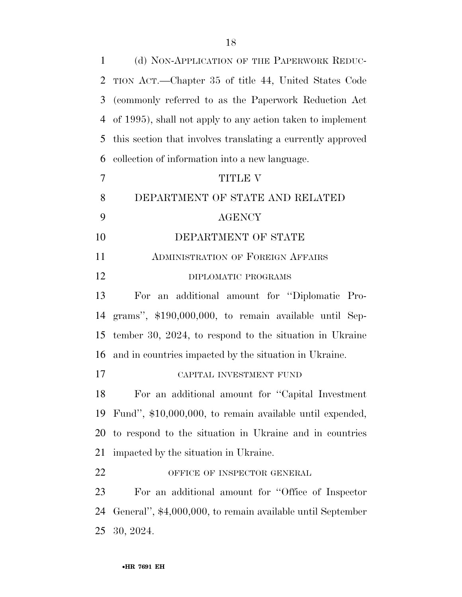| $\mathbf{1}$   | (d) NON-APPLICATION OF THE PAPERWORK REDUC-                 |
|----------------|-------------------------------------------------------------|
| 2              | TION ACT.—Chapter 35 of title 44, United States Code        |
| 3              | (commonly referred to as the Paperwork Reduction Act)       |
| 4              | of 1995), shall not apply to any action taken to implement  |
| 5              | this section that involves translating a currently approved |
| 6              | collection of information into a new language.              |
| $\overline{7}$ | <b>TITLE V</b>                                              |
| 8              | DEPARTMENT OF STATE AND RELATED                             |
| 9              | <b>AGENCY</b>                                               |
| 10             | DEPARTMENT OF STATE                                         |
| 11             | <b>ADMINISTRATION OF FOREIGN AFFAIRS</b>                    |
| 12             | DIPLOMATIC PROGRAMS                                         |
| 13             | For an additional amount for "Diplomatic Pro-               |
| 14             | grams", \$190,000,000, to remain available until Sep-       |
| 15             | tember 30, 2024, to respond to the situation in Ukraine     |
| 16             | and in countries impacted by the situation in Ukraine.      |
| 17             | CAPITAL INVESTMENT FUND                                     |
| 18             | For an additional amount for "Capital Investment"           |
| 19             | Fund", \$10,000,000, to remain available until expended,    |
| 20             | to respond to the situation in Ukraine and in countries     |
| 21             | impacted by the situation in Ukraine.                       |
| 22             | OFFICE OF INSPECTOR GENERAL                                 |
| 23             | For an additional amount for "Office of Inspector"          |
| 24             | General", \$4,000,000, to remain available until September  |
| 25             | 30, 2024.                                                   |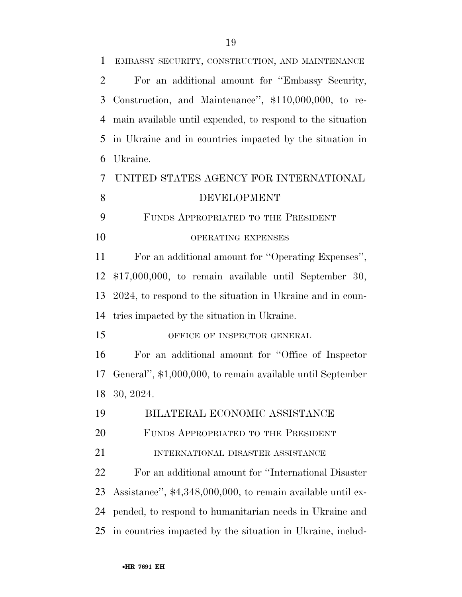| $\mathbf{1}$   | EMBASSY SECURITY, CONSTRUCTION, AND MAINTENANCE             |
|----------------|-------------------------------------------------------------|
| $\overline{2}$ | For an additional amount for "Embassy Security,             |
| 3              | Construction, and Maintenance", \$110,000,000, to re-       |
| $\overline{4}$ | main available until expended, to respond to the situation  |
| 5              | in Ukraine and in countries impacted by the situation in    |
| 6              | Ukraine.                                                    |
| 7              | UNITED STATES AGENCY FOR INTERNATIONAL                      |
| 8              | <b>DEVELOPMENT</b>                                          |
| 9              | FUNDS APPROPRIATED TO THE PRESIDENT                         |
| 10             | OPERATING EXPENSES                                          |
| 11             | For an additional amount for "Operating Expenses",          |
| 12             | $$17,000,000$ , to remain available until September 30,     |
| 13             | 2024, to respond to the situation in Ukraine and in coun-   |
| 14             | tries impacted by the situation in Ukraine.                 |
| 15             | OFFICE OF INSPECTOR GENERAL                                 |
| 16             | For an additional amount for "Office of Inspector"          |
| 17             | General", \$1,000,000, to remain available until September  |
| 18             | 30, 2024.                                                   |
| 19             | BILATERAL ECONOMIC ASSISTANCE                               |
| 20             | FUNDS APPROPRIATED TO THE PRESIDENT                         |
| 21             | INTERNATIONAL DISASTER ASSISTANCE                           |
| 22             | For an additional amount for "International Disaster"       |
| 23             | Assistance", \$4,348,000,000, to remain available until ex- |
| 24             | pended, to respond to humanitarian needs in Ukraine and     |
| 25             | in countries impacted by the situation in Ukraine, includ-  |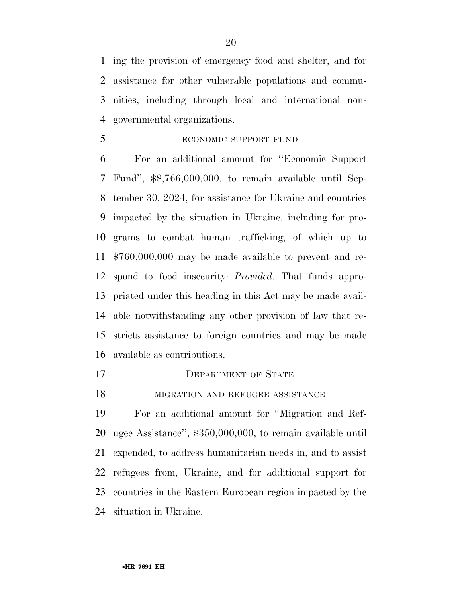ing the provision of emergency food and shelter, and for assistance for other vulnerable populations and commu- nities, including through local and international non-governmental organizations.

ECONOMIC SUPPORT FUND

 For an additional amount for ''Economic Support Fund'', \$8,766,000,000, to remain available until Sep- tember 30, 2024, for assistance for Ukraine and countries impacted by the situation in Ukraine, including for pro- grams to combat human trafficking, of which up to \$760,000,000 may be made available to prevent and re- spond to food insecurity: *Provided*, That funds appro- priated under this heading in this Act may be made avail- able notwithstanding any other provision of law that re- stricts assistance to foreign countries and may be made available as contributions.

- 17 DEPARTMENT OF STATE
- **MIGRATION AND REFUGEE ASSISTANCE**

 For an additional amount for ''Migration and Ref- ugee Assistance'', \$350,000,000, to remain available until expended, to address humanitarian needs in, and to assist refugees from, Ukraine, and for additional support for countries in the Eastern European region impacted by the situation in Ukraine.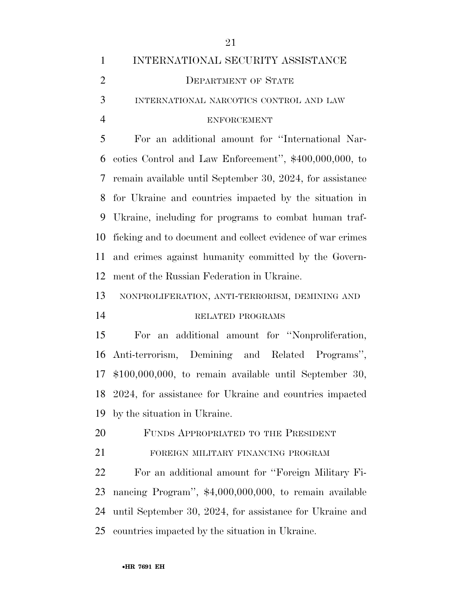| $\mathbf{1}$   | INTERNATIONAL SECURITY ASSISTANCE                          |
|----------------|------------------------------------------------------------|
| $\overline{2}$ | <b>DEPARTMENT OF STATE</b>                                 |
| 3              | INTERNATIONAL NARCOTICS CONTROL AND LAW                    |
| $\overline{4}$ | <b>ENFORCEMENT</b>                                         |
| 5              | For an additional amount for "International Nar-           |
| 6              | cotics Control and Law Enforcement", \$400,000,000, to     |
| 7              | remain available until September 30, 2024, for assistance  |
| 8              | for Ukraine and countries impacted by the situation in     |
| 9              | Ukraine, including for programs to combat human traf-      |
| 10             | ficking and to document and collect evidence of war crimes |
| 11             | and crimes against humanity committed by the Govern-       |
| 12             | ment of the Russian Federation in Ukraine.                 |
| 13             | NONPROLIFERATION, ANTI-TERRORISM, DEMINING AND             |
| 14             | RELATED PROGRAMS                                           |
| 15             | For an additional amount for "Nonproliferation,            |
| 16             | Anti-terrorism, Demining and Related Programs",            |
| 17             | $$100,000,000,$ to remain available until September 30,    |
| 18             | 2024, for assistance for Ukraine and countries impacted    |
| 19             | by the situation in Ukraine.                               |
| 20             | FUNDS APPROPRIATED TO THE PRESIDENT                        |
| 21             | FOREIGN MILITARY FINANCING PROGRAM                         |
| 22             | For an additional amount for "Foreign Military Fi-         |
| 23             | nancing Program", \$4,000,000,000, to remain available     |
| 24             | until September 30, 2024, for assistance for Ukraine and   |
| 25             | countries impacted by the situation in Ukraine.            |
|                |                                                            |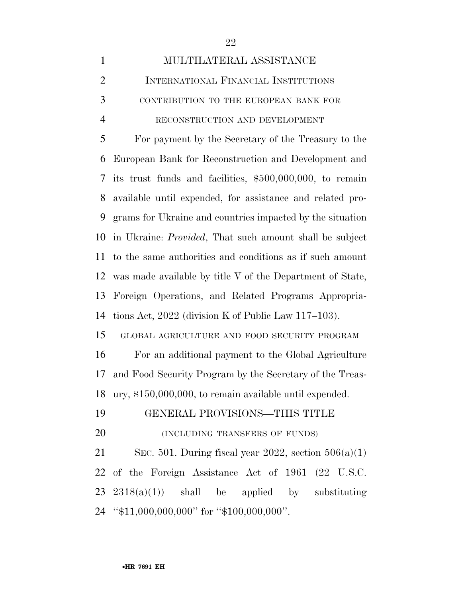| $\mathbf{1}$   | MULTILATERAL ASSISTANCE                                         |
|----------------|-----------------------------------------------------------------|
| $\overline{2}$ | INTERNATIONAL FINANCIAL INSTITUTIONS                            |
| 3              | CONTRIBUTION TO THE EUROPEAN BANK FOR                           |
| $\overline{4}$ | RECONSTRUCTION AND DEVELOPMENT                                  |
| 5              | For payment by the Secretary of the Treasury to the             |
| 6              | European Bank for Reconstruction and Development and            |
| 7              | its trust funds and facilities, \$500,000,000, to remain        |
| 8              | available until expended, for assistance and related pro-       |
| 9              | grams for Ukraine and countries impacted by the situation       |
| 10             | in Ukraine: <i>Provided</i> , That such amount shall be subject |
| 11             | to the same authorities and conditions as if such amount        |
| 12             | was made available by title V of the Department of State,       |
| 13             | Foreign Operations, and Related Programs Appropria-             |
| 14             | tions Act, $2022$ (division K of Public Law 117–103).           |
| 15             | GLOBAL AGRICULTURE AND FOOD SECURITY PROGRAM                    |
| 16             | For an additional payment to the Global Agriculture             |
| 17             | and Food Security Program by the Secretary of the Treas-        |
| 18             | ury, \$150,000,000, to remain available until expended.         |
| 19             | GENERAL PROVISIONS-THIS TITLE                                   |
| 20             | (INCLUDING TRANSFERS OF FUNDS)                                  |
| 21             | SEC. 501. During fiscal year 2022, section $506(a)(1)$          |
| 22             | of the Foreign Assistance Act of 1961 (22 U.S.C.                |
| 23             | $2318(a)(1)$ shall be applied by substituting                   |
|                | 24 "\$11,000,000,000" for "\$100,000,000".                      |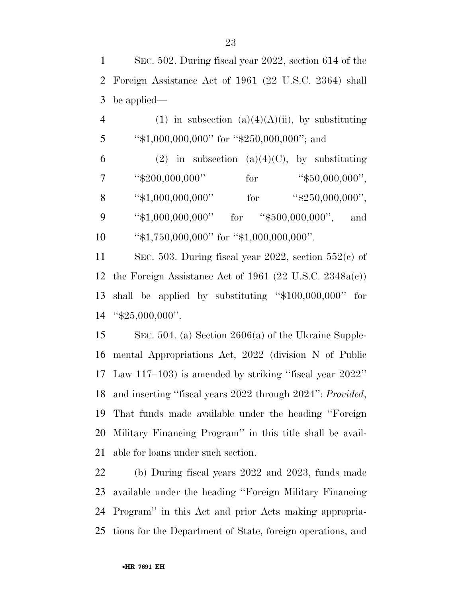SEC. 502. During fiscal year 2022, section 614 of the Foreign Assistance Act of 1961 (22 U.S.C. 2364) shall be applied—

4 (1) in subsection (a)(4)(A)(ii), by substituting 5 "\$1,000,000,000" for "\$250,000,000"; and 6 (2) in subsection (a)(4)(C), by substituting ''\$200,000,000'' for ''\$50,000,000''. 8 "\$1,000,000,000" for "\$250,000,000", 9 "\$1,000,000,000" for "\$500,000,000", and 10 ''\$1,750,000,000'' for ''\$1,000,000,000''.

 SEC. 503. During fiscal year 2022, section 552(c) of the Foreign Assistance Act of 1961 (22 U.S.C. 2348a(c)) shall be applied by substituting ''\$100,000,000'' for ''\$25,000,000''.

 SEC. 504. (a) Section 2606(a) of the Ukraine Supple- mental Appropriations Act, 2022 (division N of Public Law 117–103) is amended by striking ''fiscal year 2022'' and inserting ''fiscal years 2022 through 2024'': *Provided*, That funds made available under the heading ''Foreign Military Financing Program'' in this title shall be avail-able for loans under such section.

 (b) During fiscal years 2022 and 2023, funds made available under the heading ''Foreign Military Financing Program'' in this Act and prior Acts making appropria-tions for the Department of State, foreign operations, and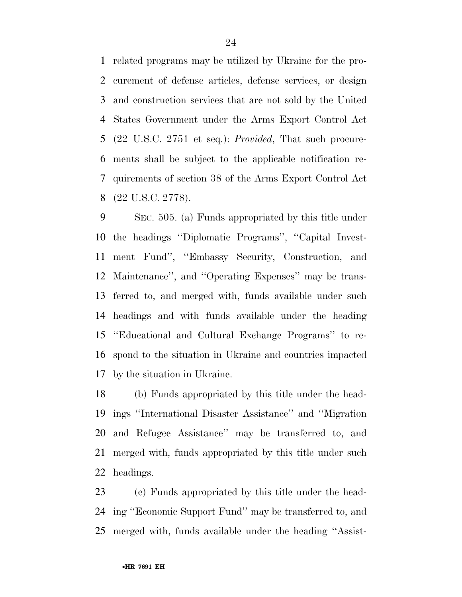related programs may be utilized by Ukraine for the pro- curement of defense articles, defense services, or design and construction services that are not sold by the United States Government under the Arms Export Control Act (22 U.S.C. 2751 et seq.): *Provided*, That such procure- ments shall be subject to the applicable notification re- quirements of section 38 of the Arms Export Control Act (22 U.S.C. 2778).

 SEC. 505. (a) Funds appropriated by this title under the headings ''Diplomatic Programs'', ''Capital Invest- ment Fund'', ''Embassy Security, Construction, and Maintenance'', and ''Operating Expenses'' may be trans- ferred to, and merged with, funds available under such headings and with funds available under the heading ''Educational and Cultural Exchange Programs'' to re- spond to the situation in Ukraine and countries impacted by the situation in Ukraine.

 (b) Funds appropriated by this title under the head- ings ''International Disaster Assistance'' and ''Migration and Refugee Assistance'' may be transferred to, and merged with, funds appropriated by this title under such headings.

 (c) Funds appropriated by this title under the head- ing ''Economic Support Fund'' may be transferred to, and merged with, funds available under the heading ''Assist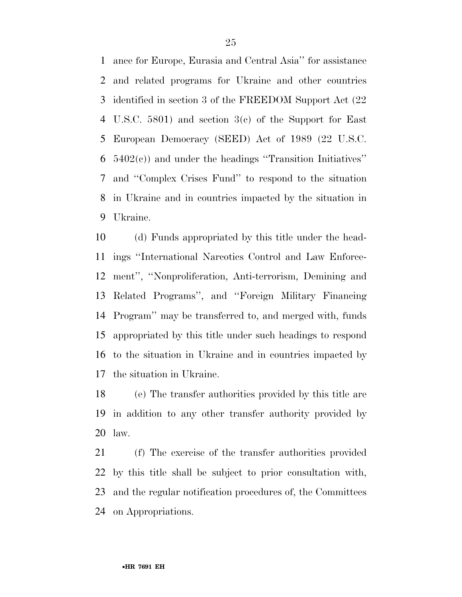ance for Europe, Eurasia and Central Asia'' for assistance and related programs for Ukraine and other countries identified in section 3 of the FREEDOM Support Act (22 U.S.C. 5801) and section 3(c) of the Support for East European Democracy (SEED) Act of 1989 (22 U.S.C. 5402(c)) and under the headings ''Transition Initiatives'' and ''Complex Crises Fund'' to respond to the situation in Ukraine and in countries impacted by the situation in Ukraine.

 (d) Funds appropriated by this title under the head- ings ''International Narcotics Control and Law Enforce- ment'', ''Nonproliferation, Anti-terrorism, Demining and Related Programs'', and ''Foreign Military Financing Program'' may be transferred to, and merged with, funds appropriated by this title under such headings to respond to the situation in Ukraine and in countries impacted by the situation in Ukraine.

 (e) The transfer authorities provided by this title are in addition to any other transfer authority provided by law.

 (f) The exercise of the transfer authorities provided by this title shall be subject to prior consultation with, and the regular notification procedures of, the Committees on Appropriations.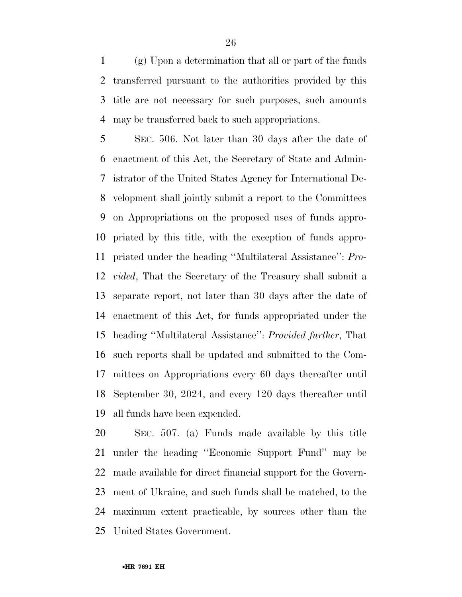(g) Upon a determination that all or part of the funds transferred pursuant to the authorities provided by this title are not necessary for such purposes, such amounts may be transferred back to such appropriations.

 SEC. 506. Not later than 30 days after the date of enactment of this Act, the Secretary of State and Admin- istrator of the United States Agency for International De- velopment shall jointly submit a report to the Committees on Appropriations on the proposed uses of funds appro- priated by this title, with the exception of funds appro- priated under the heading ''Multilateral Assistance'': *Pro- vided*, That the Secretary of the Treasury shall submit a separate report, not later than 30 days after the date of enactment of this Act, for funds appropriated under the heading ''Multilateral Assistance'': *Provided further*, That such reports shall be updated and submitted to the Com- mittees on Appropriations every 60 days thereafter until September 30, 2024, and every 120 days thereafter until all funds have been expended.

 SEC. 507. (a) Funds made available by this title under the heading ''Economic Support Fund'' may be made available for direct financial support for the Govern- ment of Ukraine, and such funds shall be matched, to the maximum extent practicable, by sources other than the United States Government.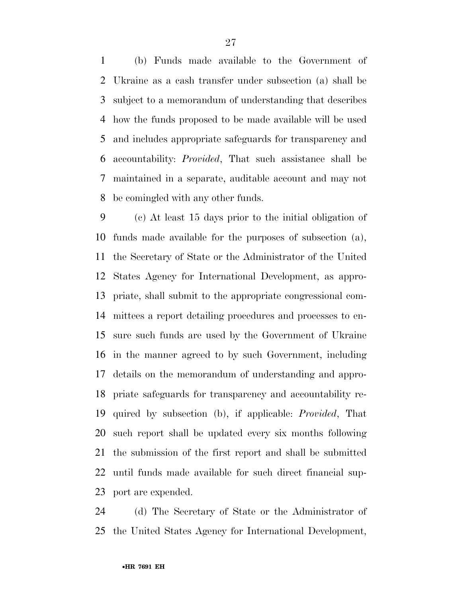(b) Funds made available to the Government of Ukraine as a cash transfer under subsection (a) shall be subject to a memorandum of understanding that describes how the funds proposed to be made available will be used and includes appropriate safeguards for transparency and accountability: *Provided*, That such assistance shall be maintained in a separate, auditable account and may not be comingled with any other funds.

 (c) At least 15 days prior to the initial obligation of funds made available for the purposes of subsection (a), the Secretary of State or the Administrator of the United States Agency for International Development, as appro- priate, shall submit to the appropriate congressional com- mittees a report detailing procedures and processes to en- sure such funds are used by the Government of Ukraine in the manner agreed to by such Government, including details on the memorandum of understanding and appro- priate safeguards for transparency and accountability re- quired by subsection (b), if applicable: *Provided*, That such report shall be updated every six months following the submission of the first report and shall be submitted until funds made available for such direct financial sup-port are expended.

 (d) The Secretary of State or the Administrator of the United States Agency for International Development,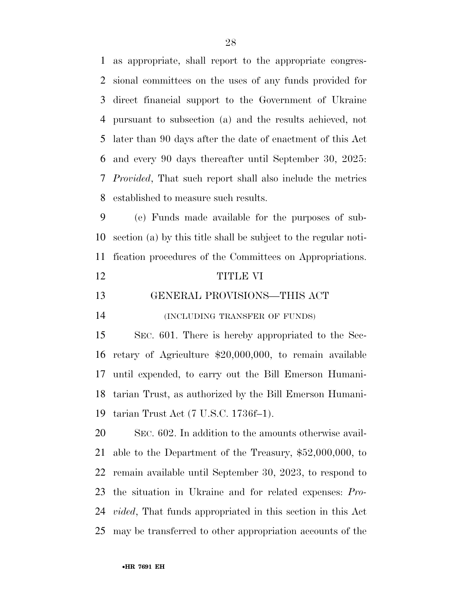as appropriate, shall report to the appropriate congres- sional committees on the uses of any funds provided for direct financial support to the Government of Ukraine pursuant to subsection (a) and the results achieved, not later than 90 days after the date of enactment of this Act and every 90 days thereafter until September 30, 2025: *Provided*, That such report shall also include the metrics established to measure such results.

 (e) Funds made available for the purposes of sub- section (a) by this title shall be subject to the regular noti-fication procedures of the Committees on Appropriations.

#### TITLE VI

GENERAL PROVISIONS—THIS ACT

(INCLUDING TRANSFER OF FUNDS)

 SEC. 601. There is hereby appropriated to the Sec- retary of Agriculture \$20,000,000, to remain available until expended, to carry out the Bill Emerson Humani- tarian Trust, as authorized by the Bill Emerson Humani-tarian Trust Act (7 U.S.C. 1736f–1).

 SEC. 602. In addition to the amounts otherwise avail- able to the Department of the Treasury, \$52,000,000, to remain available until September 30, 2023, to respond to the situation in Ukraine and for related expenses: *Pro- vided*, That funds appropriated in this section in this Act may be transferred to other appropriation accounts of the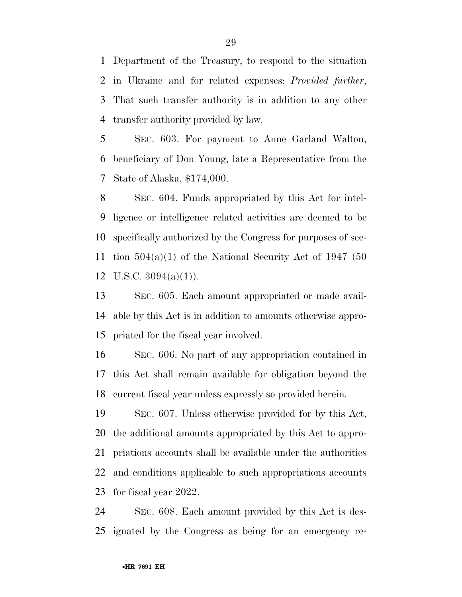Department of the Treasury, to respond to the situation in Ukraine and for related expenses: *Provided further*, That such transfer authority is in addition to any other transfer authority provided by law.

 SEC. 603. For payment to Anne Garland Walton, beneficiary of Don Young, late a Representative from the State of Alaska, \$174,000.

 SEC. 604. Funds appropriated by this Act for intel- ligence or intelligence related activities are deemed to be specifically authorized by the Congress for purposes of sec- tion 504(a)(1) of the National Security Act of 1947 (50 U.S.C. 3094(a)(1)).

 SEC. 605. Each amount appropriated or made avail- able by this Act is in addition to amounts otherwise appro-priated for the fiscal year involved.

 SEC. 606. No part of any appropriation contained in this Act shall remain available for obligation beyond the current fiscal year unless expressly so provided herein.

 SEC. 607. Unless otherwise provided for by this Act, the additional amounts appropriated by this Act to appro- priations accounts shall be available under the authorities and conditions applicable to such appropriations accounts for fiscal year 2022.

 SEC. 608. Each amount provided by this Act is des-ignated by the Congress as being for an emergency re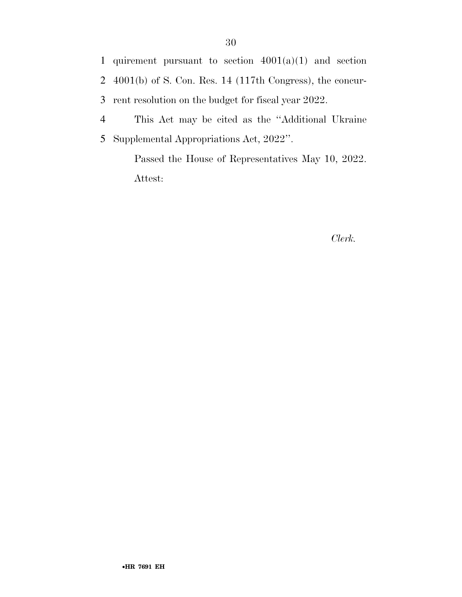1 quirement pursuant to section  $4001(a)(1)$  and section 2 4001(b) of S. Con. Res. 14 (117th Congress), the concur-3 rent resolution on the budget for fiscal year 2022.

4 This Act may be cited as the ''Additional Ukraine 5 Supplemental Appropriations Act, 2022''.

> Passed the House of Representatives May 10, 2022. Attest:

#### *Clerk.*